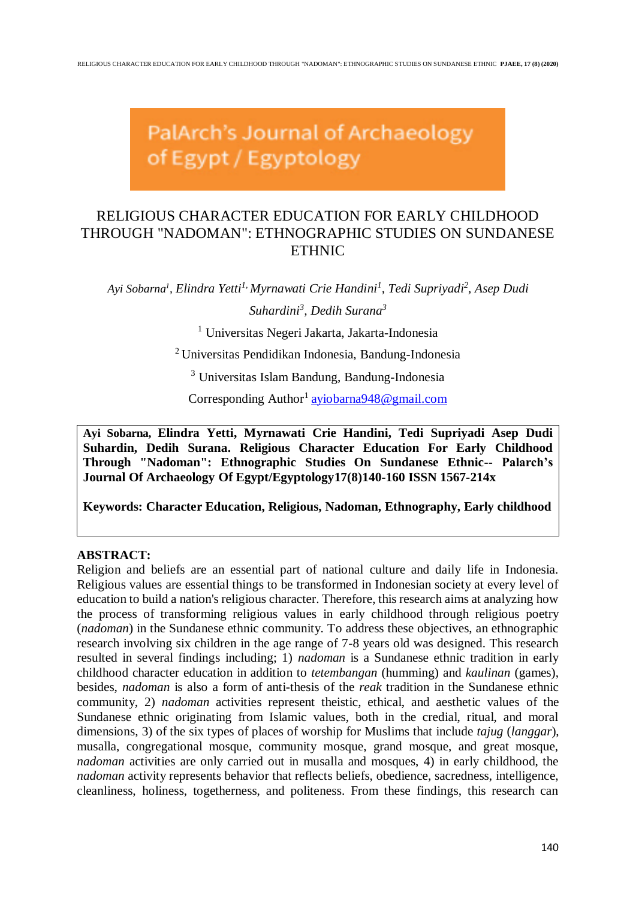PalArch's Journal of Archaeology of Egypt / Egyptology

# RELIGIOUS CHARACTER EDUCATION FOR EARLY CHILDHOOD THROUGH "NADOMAN": ETHNOGRAPHIC STUDIES ON SUNDANESE ETHNIC

*Ayi Sobarna<sup>1</sup> , Elindra Yetti1, Myrnawati Crie Handini<sup>1</sup> , Tedi Supriyadi 2 , Asep Dudi Suhardini<sup>3</sup> , Dedih Surana<sup>3</sup>*

<sup>1</sup> Universitas Negeri Jakarta, Jakarta-Indonesia

<sup>2</sup> Universitas Pendidikan Indonesia, Bandung-Indonesia

<sup>3</sup> Universitas Islam Bandung, Bandung-Indonesia

Corresponding Author<sup>1</sup> [ayiobarna948@gmail.com](mailto:ayiobarna948@gmail.com)

**Ayi Sobarna, Elindra Yetti, Myrnawati Crie Handini, Tedi Supriyadi Asep Dudi Suhardin, Dedih Surana. Religious Character Education For Early Childhood Through "Nadoman": Ethnographic Studies On Sundanese Ethnic-- Palarch's Journal Of Archaeology Of Egypt/Egyptology17(8)140-160 ISSN 1567-214x**

**Keywords: Character Education, Religious, Nadoman, Ethnography, Early childhood**

# **ABSTRACT:**

Religion and beliefs are an essential part of national culture and daily life in Indonesia. Religious values are essential things to be transformed in Indonesian society at every level of education to build a nation's religious character. Therefore, this research aims at analyzing how the process of transforming religious values in early childhood through religious poetry (*nadoman*) in the Sundanese ethnic community. To address these objectives, an ethnographic research involving six children in the age range of 7-8 years old was designed. This research resulted in several findings including; 1) *nadoman* is a Sundanese ethnic tradition in early childhood character education in addition to *tetembangan* (humming) and *kaulinan* (games), besides, *nadoman* is also a form of anti-thesis of the *reak* tradition in the Sundanese ethnic community, 2) *nadoman* activities represent theistic, ethical, and aesthetic values of the Sundanese ethnic originating from Islamic values, both in the credial, ritual, and moral dimensions, 3) of the six types of places of worship for Muslims that include *tajug* (*langgar*), musalla, congregational mosque, community mosque, grand mosque, and great mosque, *nadoman* activities are only carried out in musalla and mosques, 4) in early childhood, the *nadoman* activity represents behavior that reflects beliefs, obedience, sacredness, intelligence, cleanliness, holiness, togetherness, and politeness. From these findings, this research can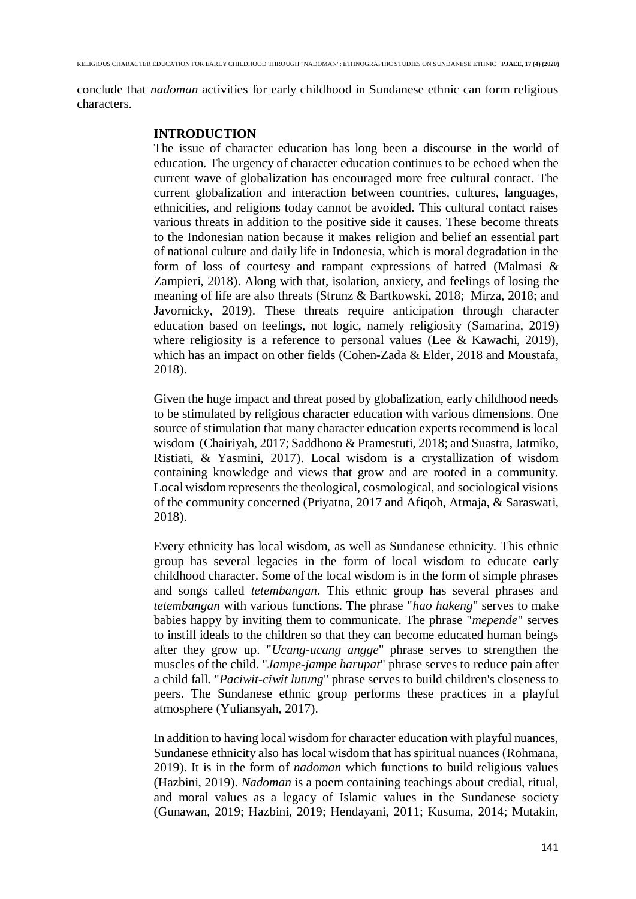conclude that *nadoman* activities for early childhood in Sundanese ethnic can form religious characters.

#### **INTRODUCTION**

The issue of character education has long been a discourse in the world of education. The urgency of character education continues to be echoed when the current wave of globalization has encouraged more free cultural contact. The current globalization and interaction between countries, cultures, languages, ethnicities, and religions today cannot be avoided. This cultural contact raises various threats in addition to the positive side it causes. These become threats to the Indonesian nation because it makes religion and belief an essential part of national culture and daily life in Indonesia, which is moral degradation in the form of loss of courtesy and rampant expressions of hatred (Malmasi & Zampieri, 2018). Along with that, isolation, anxiety, and feelings of losing the meaning of life are also threats (Strunz & Bartkowski, 2018; Mirza, 2018; and Javornicky, 2019). These threats require anticipation through character education based on feelings, not logic, namely religiosity (Samarina, 2019) where religiosity is a reference to personal values (Lee & Kawachi, 2019), which has an impact on other fields (Cohen-Zada & Elder, 2018 and Moustafa, 2018).

Given the huge impact and threat posed by globalization, early childhood needs to be stimulated by religious character education with various dimensions. One source of stimulation that many character education experts recommend is local wisdom (Chairiyah, 2017; Saddhono & Pramestuti, 2018; and Suastra, Jatmiko, Ristiati, & Yasmini, 2017). Local wisdom is a crystallization of wisdom containing knowledge and views that grow and are rooted in a community. Local wisdom represents the theological, cosmological, and sociological visions of the community concerned (Priyatna, 2017 and Afiqoh, Atmaja, & Saraswati, 2018).

Every ethnicity has local wisdom, as well as Sundanese ethnicity. This ethnic group has several legacies in the form of local wisdom to educate early childhood character. Some of the local wisdom is in the form of simple phrases and songs called *tetembangan*. This ethnic group has several phrases and *tetembangan* with various functions. The phrase "*hao hakeng*" serves to make babies happy by inviting them to communicate. The phrase "*mepende*" serves to instill ideals to the children so that they can become educated human beings after they grow up. "*Ucang-ucang angge*" phrase serves to strengthen the muscles of the child. "*Jampe-jampe harupat*" phrase serves to reduce pain after a child fall. "*Paciwit-ciwit lutung*" phrase serves to build children's closeness to peers. The Sundanese ethnic group performs these practices in a playful atmosphere (Yuliansyah, 2017).

In addition to having local wisdom for character education with playful nuances, Sundanese ethnicity also has local wisdom that has spiritual nuances (Rohmana, 2019). It is in the form of *nadoman* which functions to build religious values (Hazbini, 2019). *Nadoman* is a poem containing teachings about credial, ritual, and moral values as a legacy of Islamic values in the Sundanese society (Gunawan, 2019; Hazbini, 2019; Hendayani, 2011; Kusuma, 2014; Mutakin,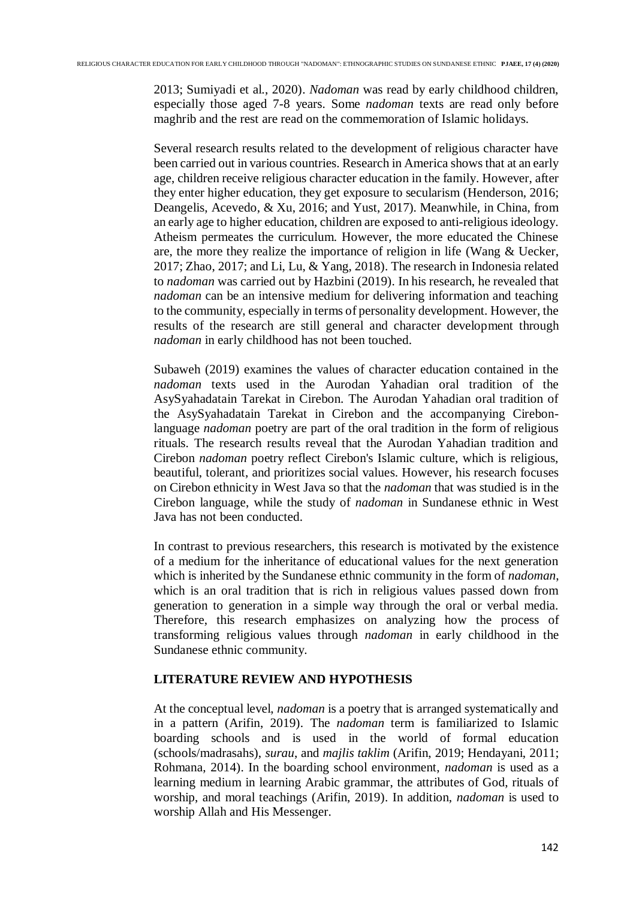2013; Sumiyadi et al., 2020). *Nadoman* was read by early childhood children, especially those aged 7-8 years. Some *nadoman* texts are read only before maghrib and the rest are read on the commemoration of Islamic holidays.

Several research results related to the development of religious character have been carried out in various countries. Research in America shows that at an early age, children receive religious character education in the family. However, after they enter higher education, they get exposure to secularism (Henderson, 2016; Deangelis, Acevedo, & Xu, 2016; and Yust, 2017). Meanwhile, in China, from an early age to higher education, children are exposed to anti-religious ideology. Atheism permeates the curriculum. However, the more educated the Chinese are, the more they realize the importance of religion in life (Wang & Uecker, 2017; Zhao, 2017; and Li, Lu, & Yang, 2018). The research in Indonesia related to *nadoman* was carried out by Hazbini (2019). In his research, he revealed that *nadoman* can be an intensive medium for delivering information and teaching to the community, especially in terms of personality development. However, the results of the research are still general and character development through *nadoman* in early childhood has not been touched.

Subaweh (2019) examines the values of character education contained in the *nadoman* texts used in the Aurodan Yahadian oral tradition of the AsySyahadatain Tarekat in Cirebon. The Aurodan Yahadian oral tradition of the AsySyahadatain Tarekat in Cirebon and the accompanying Cirebonlanguage *nadoman* poetry are part of the oral tradition in the form of religious rituals. The research results reveal that the Aurodan Yahadian tradition and Cirebon *nadoman* poetry reflect Cirebon's Islamic culture, which is religious, beautiful, tolerant, and prioritizes social values. However, his research focuses on Cirebon ethnicity in West Java so that the *nadoman* that was studied is in the Cirebon language, while the study of *nadoman* in Sundanese ethnic in West Java has not been conducted.

In contrast to previous researchers, this research is motivated by the existence of a medium for the inheritance of educational values for the next generation which is inherited by the Sundanese ethnic community in the form of *nadoman*, which is an oral tradition that is rich in religious values passed down from generation to generation in a simple way through the oral or verbal media. Therefore, this research emphasizes on analyzing how the process of transforming religious values through *nadoman* in early childhood in the Sundanese ethnic community.

## **LITERATURE REVIEW AND HYPOTHESIS**

At the conceptual level, *nadoman* is a poetry that is arranged systematically and in a pattern (Arifin, 2019). The *nadoman* term is familiarized to Islamic boarding schools and is used in the world of formal education (schools/madrasahs), *surau*, and *majlis taklim* (Arifin, 2019; Hendayani, 2011; Rohmana, 2014). In the boarding school environment, *nadoman* is used as a learning medium in learning Arabic grammar, the attributes of God, rituals of worship, and moral teachings (Arifin, 2019). In addition, *nadoman* is used to worship Allah and His Messenger.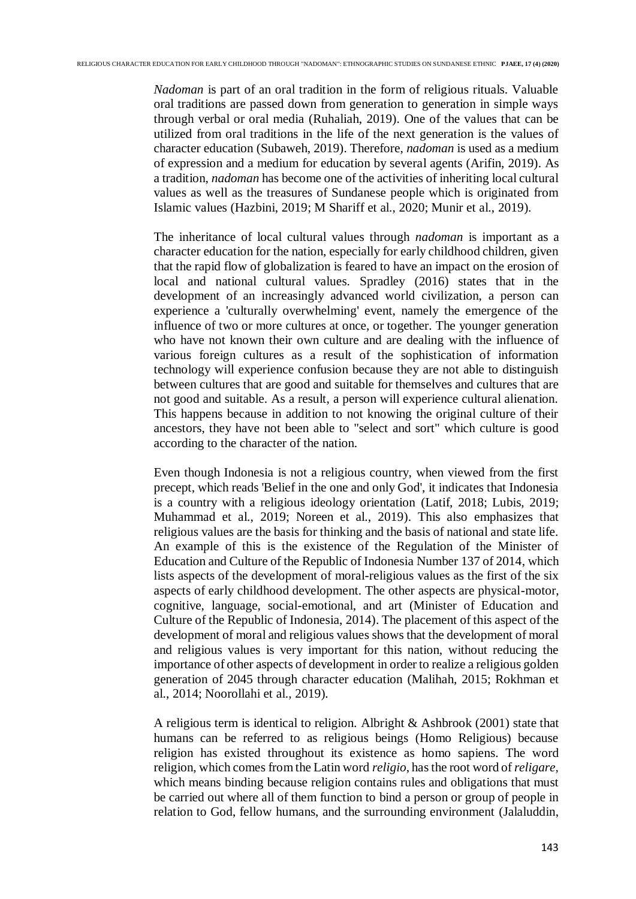*Nadoman* is part of an oral tradition in the form of religious rituals. Valuable oral traditions are passed down from generation to generation in simple ways through verbal or oral media (Ruhaliah, 2019). One of the values that can be utilized from oral traditions in the life of the next generation is the values of character education (Subaweh, 2019). Therefore, *nadoman* is used as a medium of expression and a medium for education by several agents (Arifin, 2019). As a tradition, *nadoman* has become one of the activities of inheriting local cultural values as well as the treasures of Sundanese people which is originated from Islamic values (Hazbini, 2019; M Shariff et al., 2020; Munir et al., 2019).

The inheritance of local cultural values through *nadoman* is important as a character education for the nation, especially for early childhood children, given that the rapid flow of globalization is feared to have an impact on the erosion of local and national cultural values. Spradley (2016) states that in the development of an increasingly advanced world civilization, a person can experience a 'culturally overwhelming' event, namely the emergence of the influence of two or more cultures at once, or together. The younger generation who have not known their own culture and are dealing with the influence of various foreign cultures as a result of the sophistication of information technology will experience confusion because they are not able to distinguish between cultures that are good and suitable for themselves and cultures that are not good and suitable. As a result, a person will experience cultural alienation. This happens because in addition to not knowing the original culture of their ancestors, they have not been able to "select and sort" which culture is good according to the character of the nation.

Even though Indonesia is not a religious country, when viewed from the first precept, which reads 'Belief in the one and only God', it indicates that Indonesia is a country with a religious ideology orientation (Latif, 2018; Lubis, 2019; Muhammad et al., 2019; Noreen et al., 2019). This also emphasizes that religious values are the basis for thinking and the basis of national and state life. An example of this is the existence of the Regulation of the Minister of Education and Culture of the Republic of Indonesia Number 137 of 2014, which lists aspects of the development of moral-religious values as the first of the six aspects of early childhood development. The other aspects are physical-motor, cognitive, language, social-emotional, and art (Minister of Education and Culture of the Republic of Indonesia, 2014). The placement of this aspect of the development of moral and religious values shows that the development of moral and religious values is very important for this nation, without reducing the importance of other aspects of development in order to realize a religious golden generation of 2045 through character education (Malihah, 2015; Rokhman et al., 2014; Noorollahi et al., 2019).

A religious term is identical to religion. Albright & Ashbrook (2001) state that humans can be referred to as religious beings (Homo Religious) because religion has existed throughout its existence as homo sapiens. The word religion, which comes from the Latin word *religio*, has the root word of *religare*, which means binding because religion contains rules and obligations that must be carried out where all of them function to bind a person or group of people in relation to God, fellow humans, and the surrounding environment (Jalaluddin,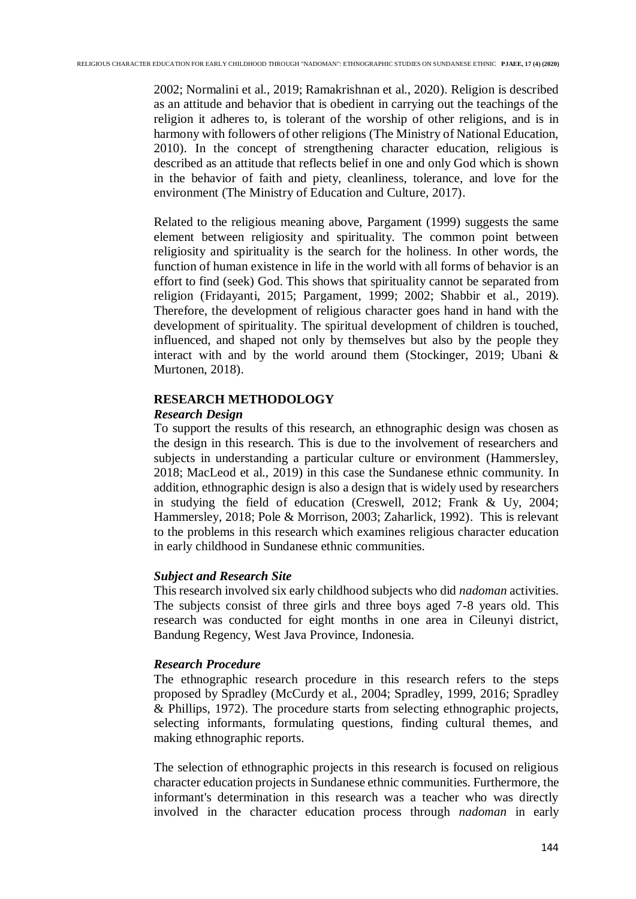2002; Normalini et al., 2019; Ramakrishnan et al., 2020). Religion is described as an attitude and behavior that is obedient in carrying out the teachings of the religion it adheres to, is tolerant of the worship of other religions, and is in harmony with followers of other religions (The Ministry of National Education, 2010). In the concept of strengthening character education, religious is described as an attitude that reflects belief in one and only God which is shown in the behavior of faith and piety, cleanliness, tolerance, and love for the environment (The Ministry of Education and Culture, 2017).

Related to the religious meaning above, Pargament (1999) suggests the same element between religiosity and spirituality. The common point between religiosity and spirituality is the search for the holiness. In other words, the function of human existence in life in the world with all forms of behavior is an effort to find (seek) God. This shows that spirituality cannot be separated from religion (Fridayanti, 2015; Pargament, 1999; 2002; Shabbir et al., 2019). Therefore, the development of religious character goes hand in hand with the development of spirituality. The spiritual development of children is touched, influenced, and shaped not only by themselves but also by the people they interact with and by the world around them (Stockinger, 2019; Ubani & Murtonen, 2018).

# **RESEARCH METHODOLOGY**

# *Research Design*

To support the results of this research, an ethnographic design was chosen as the design in this research. This is due to the involvement of researchers and subjects in understanding a particular culture or environment (Hammersley, 2018; MacLeod et al., 2019) in this case the Sundanese ethnic community. In addition, ethnographic design is also a design that is widely used by researchers in studying the field of education (Creswell, 2012; Frank & Uy, 2004; Hammersley, 2018; Pole & Morrison, 2003; Zaharlick, 1992). This is relevant to the problems in this research which examines religious character education in early childhood in Sundanese ethnic communities.

# *Subject and Research Site*

This research involved six early childhood subjects who did *nadoman* activities. The subjects consist of three girls and three boys aged 7-8 years old. This research was conducted for eight months in one area in Cileunyi district, Bandung Regency, West Java Province, Indonesia.

# *Research Procedure*

The ethnographic research procedure in this research refers to the steps proposed by Spradley (McCurdy et al., 2004; Spradley, 1999, 2016; Spradley & Phillips, 1972). The procedure starts from selecting ethnographic projects, selecting informants, formulating questions, finding cultural themes, and making ethnographic reports.

The selection of ethnographic projects in this research is focused on religious character education projects in Sundanese ethnic communities. Furthermore, the informant's determination in this research was a teacher who was directly involved in the character education process through *nadoman* in early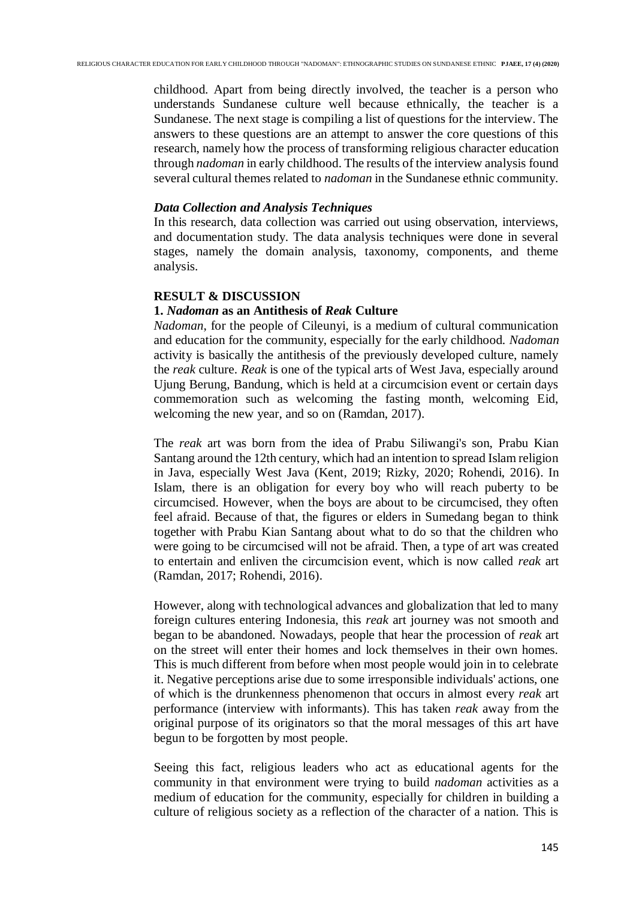childhood. Apart from being directly involved, the teacher is a person who understands Sundanese culture well because ethnically, the teacher is a Sundanese. The next stage is compiling a list of questions for the interview. The answers to these questions are an attempt to answer the core questions of this research, namely how the process of transforming religious character education through *nadoman* in early childhood. The results of the interview analysis found several cultural themes related to *nadoman* in the Sundanese ethnic community.

### *Data Collection and Analysis Techniques*

In this research, data collection was carried out using observation, interviews, and documentation study. The data analysis techniques were done in several stages, namely the domain analysis, taxonomy, components, and theme analysis.

# **RESULT & DISCUSSION**

# **1.** *Nadoman* **as an Antithesis of** *Reak* **Culture**

*Nadoman*, for the people of Cileunyi, is a medium of cultural communication and education for the community, especially for the early childhood. *Nadoman* activity is basically the antithesis of the previously developed culture, namely the *reak* culture. *Reak* is one of the typical arts of West Java, especially around Ujung Berung, Bandung, which is held at a circumcision event or certain days commemoration such as welcoming the fasting month, welcoming Eid, welcoming the new year, and so on (Ramdan, 2017).

The *reak* art was born from the idea of Prabu Siliwangi's son, Prabu Kian Santang around the 12th century, which had an intention to spread Islam religion in Java, especially West Java (Kent, 2019; Rizky, 2020; Rohendi, 2016). In Islam, there is an obligation for every boy who will reach puberty to be circumcised. However, when the boys are about to be circumcised, they often feel afraid. Because of that, the figures or elders in Sumedang began to think together with Prabu Kian Santang about what to do so that the children who were going to be circumcised will not be afraid. Then, a type of art was created to entertain and enliven the circumcision event, which is now called *reak* art (Ramdan, 2017; Rohendi, 2016).

However, along with technological advances and globalization that led to many foreign cultures entering Indonesia, this *reak* art journey was not smooth and began to be abandoned. Nowadays, people that hear the procession of *reak* art on the street will enter their homes and lock themselves in their own homes. This is much different from before when most people would join in to celebrate it. Negative perceptions arise due to some irresponsible individuals' actions, one of which is the drunkenness phenomenon that occurs in almost every *reak* art performance (interview with informants). This has taken *reak* away from the original purpose of its originators so that the moral messages of this art have begun to be forgotten by most people.

Seeing this fact, religious leaders who act as educational agents for the community in that environment were trying to build *nadoman* activities as a medium of education for the community, especially for children in building a culture of religious society as a reflection of the character of a nation. This is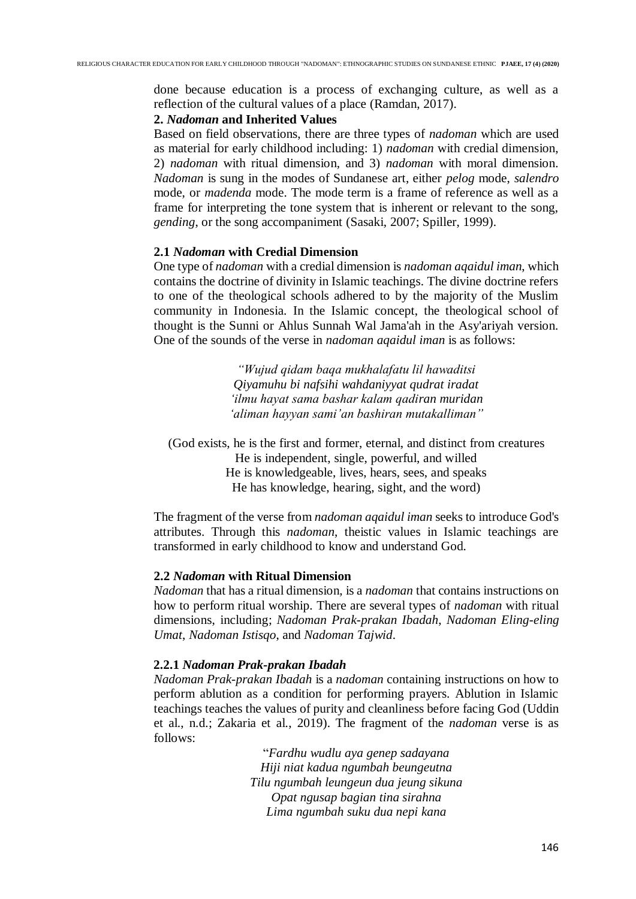done because education is a process of exchanging culture, as well as a reflection of the cultural values of a place (Ramdan, 2017).

### **2.** *Nadoman* **and Inherited Values**

Based on field observations, there are three types of *nadoman* which are used as material for early childhood including: 1) *nadoman* with credial dimension, 2) *nadoman* with ritual dimension, and 3) *nadoman* with moral dimension. *Nadoman* is sung in the modes of Sundanese art, either *pelog* mode, *salendro* mode, or *madenda* mode. The mode term is a frame of reference as well as a frame for interpreting the tone system that is inherent or relevant to the song, *gending*, or the song accompaniment (Sasaki, 2007; Spiller, 1999).

# **2.1** *Nadoman* **with Credial Dimension**

One type of *nadoman* with a credial dimension is *nadoman aqaidul iman*, which contains the doctrine of divinity in Islamic teachings. The divine doctrine refers to one of the theological schools adhered to by the majority of the Muslim community in Indonesia. In the Islamic concept, the theological school of thought is the Sunni or Ahlus Sunnah Wal Jama'ah in the Asy'ariyah version. One of the sounds of the verse in *nadoman aqaidul iman* is as follows:

> *"Wujud qidam baqa mukhalafatu lil hawaditsi Qiyamuhu bi nafsihi wahdaniyyat qudrat iradat 'ilmu hayat sama bashar kalam qadiran muridan 'aliman hayyan sami'an bashiran mutakalliman"*

(God exists, he is the first and former, eternal, and distinct from creatures He is independent, single, powerful, and willed He is knowledgeable, lives, hears, sees, and speaks He has knowledge, hearing, sight, and the word)

The fragment of the verse from *nadoman aqaidul iman* seeks to introduce God's attributes. Through this *nadoman*, theistic values in Islamic teachings are transformed in early childhood to know and understand God.

#### **2.2** *Nadoman* **with Ritual Dimension**

*Nadoman* that has a ritual dimension, is a *nadoman* that contains instructions on how to perform ritual worship. There are several types of *nadoman* with ritual dimensions, including; *Nadoman Prak-prakan Ibadah*, *Nadoman Eling-eling Umat*, *Nadoman Istisqo*, and *Nadoman Tajwid*.

#### **2.2.1** *Nadoman Prak-prakan Ibadah*

*Nadoman Prak-prakan Ibadah* is a *nadoman* containing instructions on how to perform ablution as a condition for performing prayers. Ablution in Islamic teachings teaches the values of purity and cleanliness before facing God (Uddin et al., n.d.; Zakaria et al., 2019). The fragment of the *nadoman* verse is as follows:

> "*Fardhu wudlu aya genep sadayana Hiji niat kadua ngumbah beungeutna Tilu ngumbah leungeun dua jeung sikuna Opat ngusap bagian tina sirahna Lima ngumbah suku dua nepi kana*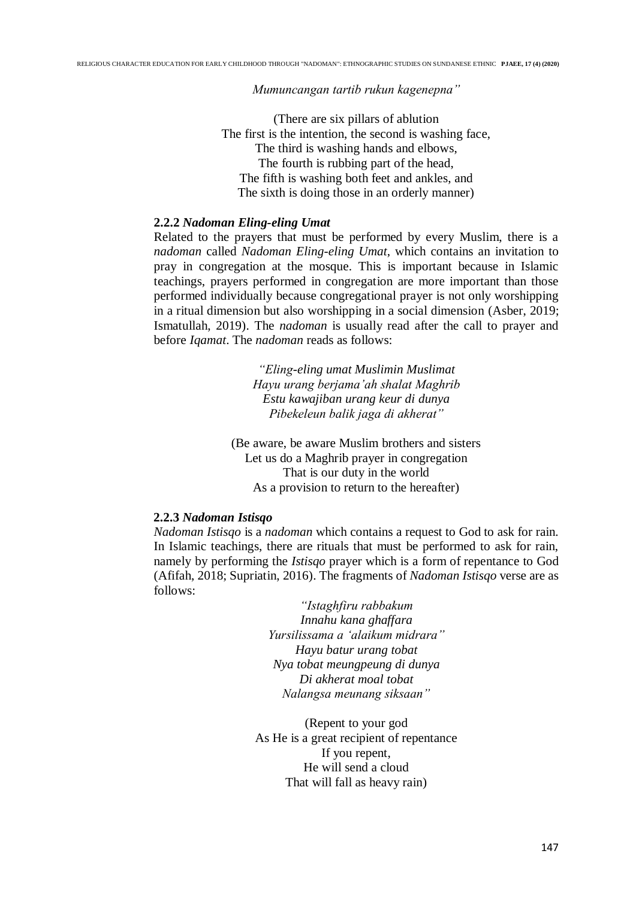*Mumuncangan tartib rukun kagenepna"*

(There are six pillars of ablution The first is the intention, the second is washing face, The third is washing hands and elbows, The fourth is rubbing part of the head, The fifth is washing both feet and ankles, and The sixth is doing those in an orderly manner)

## **2.2.2** *Nadoman Eling-eling Umat*

Related to the prayers that must be performed by every Muslim, there is a *nadoman* called *Nadoman Eling-eling Umat*, which contains an invitation to pray in congregation at the mosque. This is important because in Islamic teachings, prayers performed in congregation are more important than those performed individually because congregational prayer is not only worshipping in a ritual dimension but also worshipping in a social dimension (Asber, 2019; Ismatullah, 2019). The *nadoman* is usually read after the call to prayer and before *Iqamat*. The *nadoman* reads as follows:

> *"Eling-eling umat Muslimin Muslimat Hayu urang berjama'ah shalat Maghrib Estu kawajiban urang keur di dunya Pibekeleun balik jaga di akherat"*

(Be aware, be aware Muslim brothers and sisters Let us do a Maghrib prayer in congregation That is our duty in the world As a provision to return to the hereafter)

### **2.2.3** *Nadoman Istisqo*

*Nadoman Istisqo* is a *nadoman* which contains a request to God to ask for rain. In Islamic teachings, there are rituals that must be performed to ask for rain, namely by performing the *Istisqo* prayer which is a form of repentance to God (Afifah, 2018; Supriatin, 2016). The fragments of *Nadoman Istisqo* verse are as follows:

> *"Istaghfiru rabbakum Innahu kana ghaffara Yursilissama a 'alaikum midrara" Hayu batur urang tobat Nya tobat meungpeung di dunya Di akherat moal tobat Nalangsa meunang siksaan"*

(Repent to your god As He is a great recipient of repentance If you repent, He will send a cloud That will fall as heavy rain)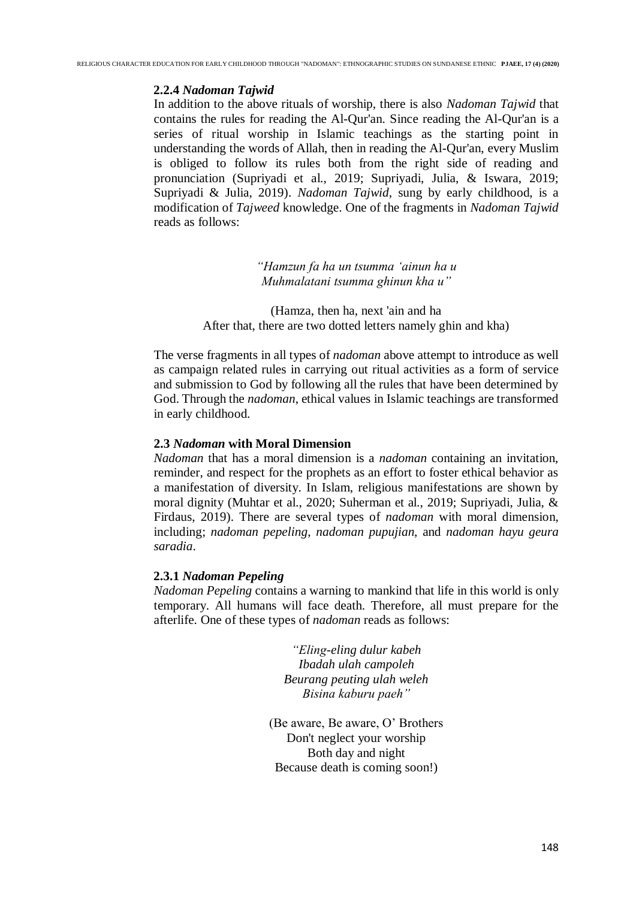### **2.2.4** *Nadoman Tajwid*

In addition to the above rituals of worship, there is also *Nadoman Tajwid* that contains the rules for reading the Al-Qur'an. Since reading the Al-Qur'an is a series of ritual worship in Islamic teachings as the starting point in understanding the words of Allah, then in reading the Al-Qur'an, every Muslim is obliged to follow its rules both from the right side of reading and pronunciation (Supriyadi et al., 2019; Supriyadi, Julia, & Iswara, 2019; Supriyadi & Julia, 2019). *Nadoman Tajwid*, sung by early childhood, is a modification of *Tajweed* knowledge. One of the fragments in *Nadoman Tajwid* reads as follows:

> *"Hamzun fa ha un tsumma 'ainun ha u Muhmalatani tsumma ghinun kha u"*

(Hamza, then ha, next 'ain and ha After that, there are two dotted letters namely ghin and kha)

The verse fragments in all types of *nadoman* above attempt to introduce as well as campaign related rules in carrying out ritual activities as a form of service and submission to God by following all the rules that have been determined by God. Through the *nadoman*, ethical values in Islamic teachings are transformed in early childhood.

### **2.3** *Nadoman* **with Moral Dimension**

*Nadoman* that has a moral dimension is a *nadoman* containing an invitation, reminder, and respect for the prophets as an effort to foster ethical behavior as a manifestation of diversity. In Islam, religious manifestations are shown by moral dignity (Muhtar et al., 2020; Suherman et al., 2019; Supriyadi, Julia, & Firdaus, 2019). There are several types of *nadoman* with moral dimension, including; *nadoman pepeling*, *nadoman pupujian*, and *nadoman hayu geura saradia*.

### **2.3.1** *Nadoman Pepeling*

*Nadoman Pepeling* contains a warning to mankind that life in this world is only temporary. All humans will face death. Therefore, all must prepare for the afterlife. One of these types of *nadoman* reads as follows:

> *"Eling-eling dulur kabeh Ibadah ulah campoleh Beurang peuting ulah weleh Bisina kaburu paeh"*

(Be aware, Be aware, O' Brothers Don't neglect your worship Both day and night Because death is coming soon!)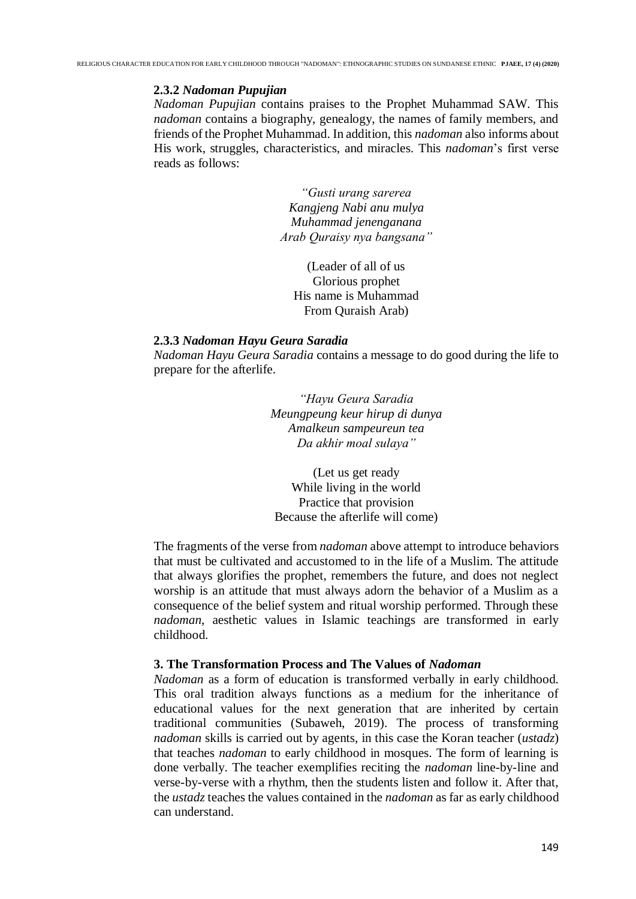### **2.3.2** *Nadoman Pupujian*

*Nadoman Pupujian* contains praises to the Prophet Muhammad SAW. This *nadoman* contains a biography, genealogy, the names of family members, and friends of the Prophet Muhammad. In addition, this *nadoman* also informs about His work, struggles, characteristics, and miracles. This *nadoman*'s first verse reads as follows:

> *"Gusti urang sarerea Kangjeng Nabi anu mulya Muhammad jenenganana Arab Quraisy nya bangsana"*

(Leader of all of us Glorious prophet His name is Muhammad From Quraish Arab)

#### **2.3.3** *Nadoman Hayu Geura Saradia*

*Nadoman Hayu Geura Saradia* contains a message to do good during the life to prepare for the afterlife.

> *"Hayu Geura Saradia Meungpeung keur hirup di dunya Amalkeun sampeureun tea Da akhir moal sulaya"*

(Let us get ready While living in the world Practice that provision Because the afterlife will come)

The fragments of the verse from *nadoman* above attempt to introduce behaviors that must be cultivated and accustomed to in the life of a Muslim. The attitude that always glorifies the prophet, remembers the future, and does not neglect worship is an attitude that must always adorn the behavior of a Muslim as a consequence of the belief system and ritual worship performed. Through these *nadoman*, aesthetic values in Islamic teachings are transformed in early childhood.

### **3. The Transformation Process and The Values of** *Nadoman*

*Nadoman* as a form of education is transformed verbally in early childhood. This oral tradition always functions as a medium for the inheritance of educational values for the next generation that are inherited by certain traditional communities (Subaweh, 2019). The process of transforming *nadoman* skills is carried out by agents, in this case the Koran teacher (*ustadz*) that teaches *nadoman* to early childhood in mosques. The form of learning is done verbally. The teacher exemplifies reciting the *nadoman* line-by-line and verse-by-verse with a rhythm, then the students listen and follow it. After that, the *ustadz* teaches the values contained in the *nadoman* as far as early childhood can understand.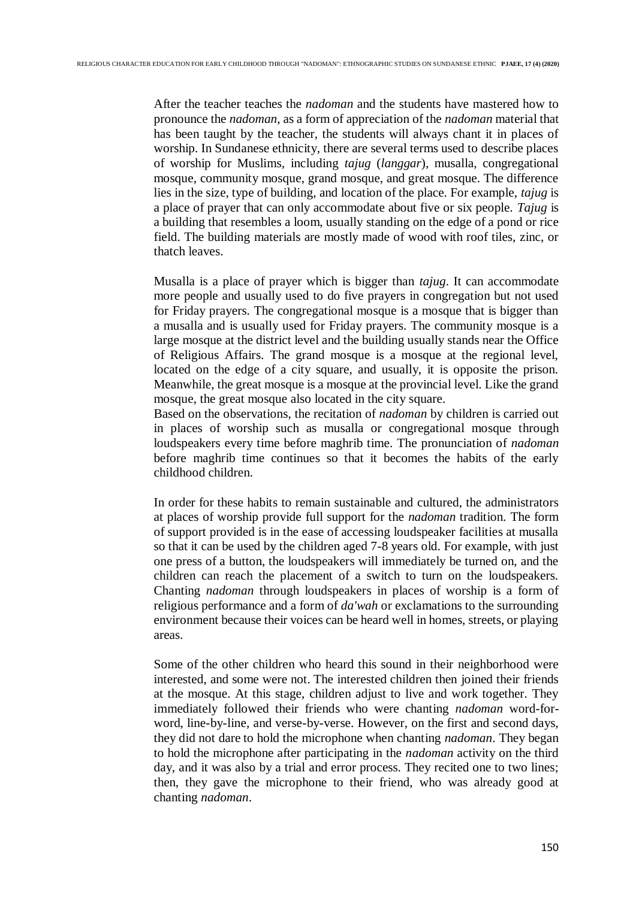After the teacher teaches the *nadoman* and the students have mastered how to pronounce the *nadoman*, as a form of appreciation of the *nadoman* material that has been taught by the teacher, the students will always chant it in places of worship. In Sundanese ethnicity, there are several terms used to describe places of worship for Muslims, including *tajug* (*langgar*), musalla, congregational mosque, community mosque, grand mosque, and great mosque. The difference lies in the size, type of building, and location of the place. For example, *tajug* is a place of prayer that can only accommodate about five or six people. *Tajug* is a building that resembles a loom, usually standing on the edge of a pond or rice field. The building materials are mostly made of wood with roof tiles, zinc, or thatch leaves.

Musalla is a place of prayer which is bigger than *tajug*. It can accommodate more people and usually used to do five prayers in congregation but not used for Friday prayers. The congregational mosque is a mosque that is bigger than a musalla and is usually used for Friday prayers. The community mosque is a large mosque at the district level and the building usually stands near the Office of Religious Affairs. The grand mosque is a mosque at the regional level, located on the edge of a city square, and usually, it is opposite the prison. Meanwhile, the great mosque is a mosque at the provincial level. Like the grand mosque, the great mosque also located in the city square.

Based on the observations, the recitation of *nadoman* by children is carried out in places of worship such as musalla or congregational mosque through loudspeakers every time before maghrib time. The pronunciation of *nadoman* before maghrib time continues so that it becomes the habits of the early childhood children.

In order for these habits to remain sustainable and cultured, the administrators at places of worship provide full support for the *nadoman* tradition. The form of support provided is in the ease of accessing loudspeaker facilities at musalla so that it can be used by the children aged 7-8 years old. For example, with just one press of a button, the loudspeakers will immediately be turned on, and the children can reach the placement of a switch to turn on the loudspeakers. Chanting *nadoman* through loudspeakers in places of worship is a form of religious performance and a form of *da'wah* or exclamations to the surrounding environment because their voices can be heard well in homes, streets, or playing areas.

Some of the other children who heard this sound in their neighborhood were interested, and some were not. The interested children then joined their friends at the mosque. At this stage, children adjust to live and work together. They immediately followed their friends who were chanting *nadoman* word-forword, line-by-line, and verse-by-verse. However, on the first and second days, they did not dare to hold the microphone when chanting *nadoman*. They began to hold the microphone after participating in the *nadoman* activity on the third day, and it was also by a trial and error process. They recited one to two lines; then, they gave the microphone to their friend, who was already good at chanting *nadoman*.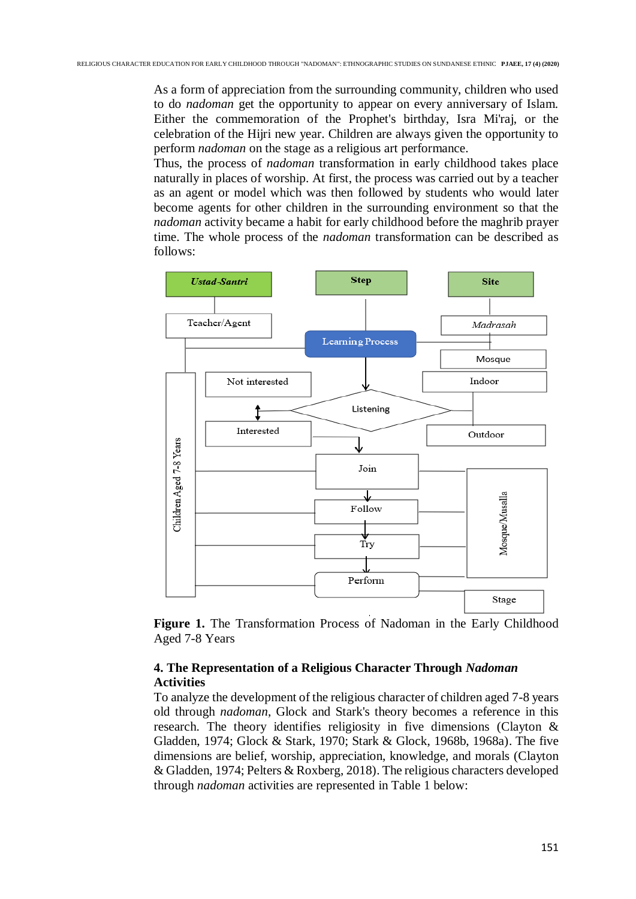As a form of appreciation from the surrounding community, children who used to do *nadoman* get the opportunity to appear on every anniversary of Islam. Either the commemoration of the Prophet's birthday, Isra Mi'raj, or the celebration of the Hijri new year. Children are always given the opportunity to perform *nadoman* on the stage as a religious art performance.

Thus, the process of *nadoman* transformation in early childhood takes place naturally in places of worship. At first, the process was carried out by a teacher as an agent or model which was then followed by students who would later become agents for other children in the surrounding environment so that the *nadoman* activity became a habit for early childhood before the maghrib prayer time. The whole process of the *nadoman* transformation can be described as follows:



Figure 1. The Transformation Process of Nadoman in the Early Childhood Aged 7-8 Years

# **4. The Representation of a Religious Character Through** *Nadoman* **Activities**

To analyze the development of the religious character of children aged 7-8 years old through *nadoman*, Glock and Stark's theory becomes a reference in this research. The theory identifies religiosity in five dimensions (Clayton & Gladden, 1974; Glock & Stark, 1970; Stark & Glock, 1968b, 1968a). The five dimensions are belief, worship, appreciation, knowledge, and morals (Clayton & Gladden, 1974; Pelters & Roxberg, 2018). The religious characters developed through *nadoman* activities are represented in Table 1 below: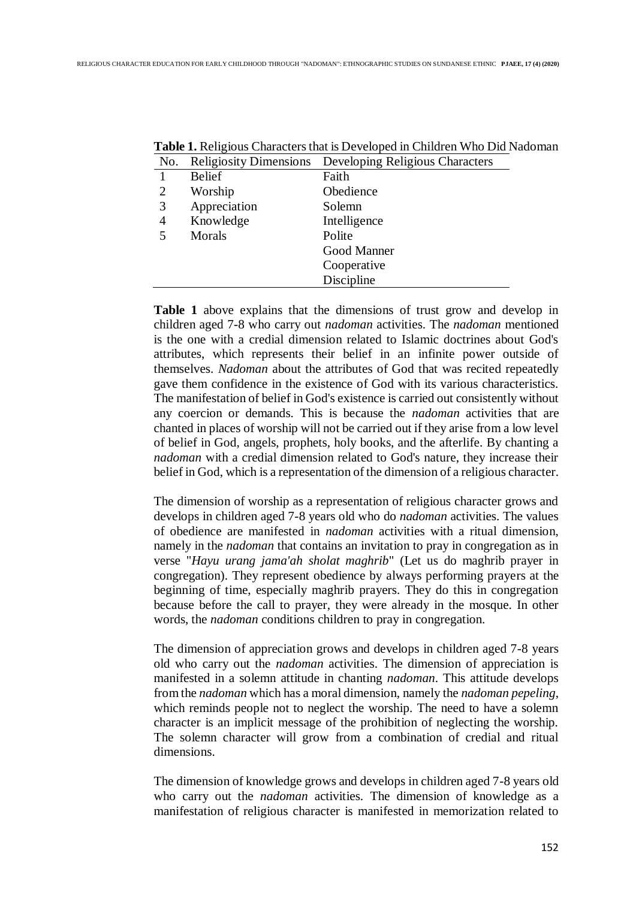| No. |               | <b>Religiosity Dimensions</b> Developing Religious Characters |
|-----|---------------|---------------------------------------------------------------|
| 1   | <b>Belief</b> | Faith                                                         |
| 2   | Worship       | Obedience                                                     |
| 3   | Appreciation  | Solemn                                                        |
| 4   | Knowledge     | Intelligence                                                  |
| 5   | Morals        | Polite                                                        |
|     |               | Good Manner                                                   |
|     |               | Cooperative                                                   |
|     |               | Discipline                                                    |

**Table 1.** Religious Characters that is Developed in Children Who Did Nadoman

**Table 1** above explains that the dimensions of trust grow and develop in children aged 7-8 who carry out *nadoman* activities. The *nadoman* mentioned is the one with a credial dimension related to Islamic doctrines about God's attributes, which represents their belief in an infinite power outside of themselves. *Nadoman* about the attributes of God that was recited repeatedly gave them confidence in the existence of God with its various characteristics. The manifestation of belief in God's existence is carried out consistently without any coercion or demands. This is because the *nadoman* activities that are chanted in places of worship will not be carried out if they arise from a low level of belief in God, angels, prophets, holy books, and the afterlife. By chanting a *nadoman* with a credial dimension related to God's nature, they increase their belief in God, which is a representation of the dimension of a religious character.

The dimension of worship as a representation of religious character grows and develops in children aged 7-8 years old who do *nadoman* activities. The values of obedience are manifested in *nadoman* activities with a ritual dimension, namely in the *nadoman* that contains an invitation to pray in congregation as in verse "*Hayu urang jama'ah sholat maghrib*" (Let us do maghrib prayer in congregation). They represent obedience by always performing prayers at the beginning of time, especially maghrib prayers. They do this in congregation because before the call to prayer, they were already in the mosque. In other words, the *nadoman* conditions children to pray in congregation.

The dimension of appreciation grows and develops in children aged 7-8 years old who carry out the *nadoman* activities. The dimension of appreciation is manifested in a solemn attitude in chanting *nadoman*. This attitude develops from the *nadoman* which has a moral dimension, namely the *nadoman pepeling*, which reminds people not to neglect the worship. The need to have a solemn character is an implicit message of the prohibition of neglecting the worship. The solemn character will grow from a combination of credial and ritual dimensions.

The dimension of knowledge grows and develops in children aged 7-8 years old who carry out the *nadoman* activities. The dimension of knowledge as a manifestation of religious character is manifested in memorization related to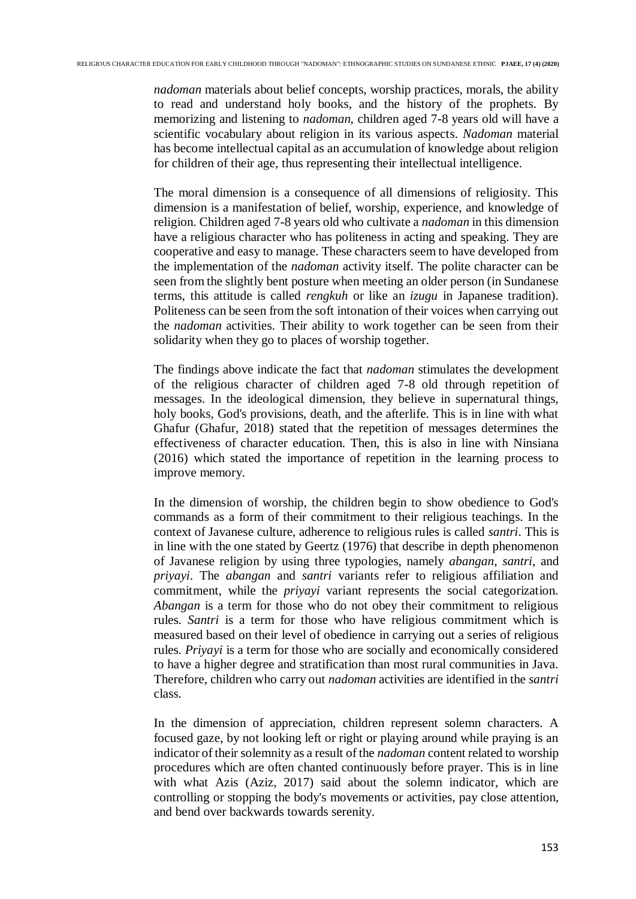*nadoman* materials about belief concepts, worship practices, morals, the ability to read and understand holy books, and the history of the prophets. By memorizing and listening to *nadoman*, children aged 7-8 years old will have a scientific vocabulary about religion in its various aspects. *Nadoman* material has become intellectual capital as an accumulation of knowledge about religion for children of their age, thus representing their intellectual intelligence.

The moral dimension is a consequence of all dimensions of religiosity. This dimension is a manifestation of belief, worship, experience, and knowledge of religion. Children aged 7-8 years old who cultivate a *nadoman* in this dimension have a religious character who has politeness in acting and speaking. They are cooperative and easy to manage. These characters seem to have developed from the implementation of the *nadoman* activity itself. The polite character can be seen from the slightly bent posture when meeting an older person (in Sundanese terms, this attitude is called *rengkuh* or like an *izugu* in Japanese tradition). Politeness can be seen from the soft intonation of their voices when carrying out the *nadoman* activities. Their ability to work together can be seen from their solidarity when they go to places of worship together.

The findings above indicate the fact that *nadoman* stimulates the development of the religious character of children aged 7-8 old through repetition of messages. In the ideological dimension, they believe in supernatural things, holy books, God's provisions, death, and the afterlife. This is in line with what Ghafur (Ghafur, 2018) stated that the repetition of messages determines the effectiveness of character education. Then, this is also in line with Ninsiana (2016) which stated the importance of repetition in the learning process to improve memory.

In the dimension of worship, the children begin to show obedience to God's commands as a form of their commitment to their religious teachings. In the context of Javanese culture, adherence to religious rules is called *santri*. This is in line with the one stated by Geertz (1976) that describe in depth phenomenon of Javanese religion by using three typologies, namely *abangan*, *santri*, and *priyayi*. The *abangan* and *santri* variants refer to religious affiliation and commitment, while the *priyayi* variant represents the social categorization. *Abangan* is a term for those who do not obey their commitment to religious rules. *Santri* is a term for those who have religious commitment which is measured based on their level of obedience in carrying out a series of religious rules. *Priyayi* is a term for those who are socially and economically considered to have a higher degree and stratification than most rural communities in Java. Therefore, children who carry out *nadoman* activities are identified in the *santri* class.

In the dimension of appreciation, children represent solemn characters. A focused gaze, by not looking left or right or playing around while praying is an indicator of their solemnity as a result of the *nadoman* content related to worship procedures which are often chanted continuously before prayer. This is in line with what Azis (Aziz, 2017) said about the solemn indicator, which are controlling or stopping the body's movements or activities, pay close attention, and bend over backwards towards serenity.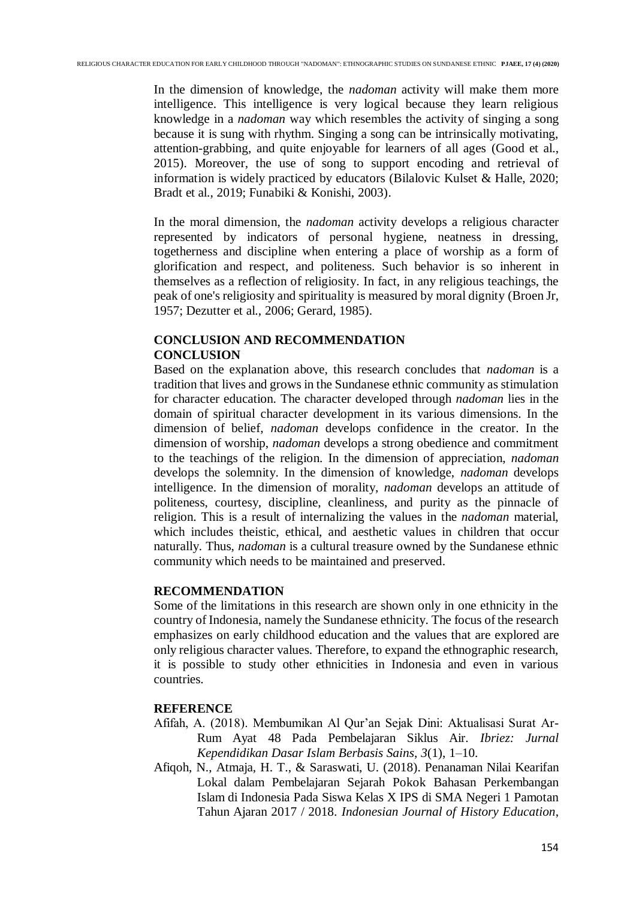In the dimension of knowledge, the *nadoman* activity will make them more intelligence. This intelligence is very logical because they learn religious knowledge in a *nadoman* way which resembles the activity of singing a song because it is sung with rhythm. Singing a song can be intrinsically motivating, attention-grabbing, and quite enjoyable for learners of all ages (Good et al., 2015). Moreover, the use of song to support encoding and retrieval of information is widely practiced by educators (Bilalovic Kulset & Halle, 2020; Bradt et al., 2019; Funabiki & Konishi, 2003).

In the moral dimension, the *nadoman* activity develops a religious character represented by indicators of personal hygiene, neatness in dressing, togetherness and discipline when entering a place of worship as a form of glorification and respect, and politeness. Such behavior is so inherent in themselves as a reflection of religiosity. In fact, in any religious teachings, the peak of one's religiosity and spirituality is measured by moral dignity (Broen Jr, 1957; Dezutter et al., 2006; Gerard, 1985).

# **CONCLUSION AND RECOMMENDATION CONCLUSION**

Based on the explanation above, this research concludes that *nadoman* is a tradition that lives and grows in the Sundanese ethnic community as stimulation for character education. The character developed through *nadoman* lies in the domain of spiritual character development in its various dimensions. In the dimension of belief, *nadoman* develops confidence in the creator. In the dimension of worship, *nadoman* develops a strong obedience and commitment to the teachings of the religion. In the dimension of appreciation, *nadoman* develops the solemnity. In the dimension of knowledge, *nadoman* develops intelligence. In the dimension of morality, *nadoman* develops an attitude of politeness, courtesy, discipline, cleanliness, and purity as the pinnacle of religion. This is a result of internalizing the values in the *nadoman* material, which includes theistic, ethical, and aesthetic values in children that occur naturally. Thus, *nadoman* is a cultural treasure owned by the Sundanese ethnic community which needs to be maintained and preserved.

### **RECOMMENDATION**

Some of the limitations in this research are shown only in one ethnicity in the country of Indonesia, namely the Sundanese ethnicity. The focus of the research emphasizes on early childhood education and the values that are explored are only religious character values. Therefore, to expand the ethnographic research, it is possible to study other ethnicities in Indonesia and even in various countries.

### **REFERENCE**

- Afifah, A. (2018). Membumikan Al Qur'an Sejak Dini: Aktualisasi Surat Ar-Rum Ayat 48 Pada Pembelajaran Siklus Air. *Ibriez: Jurnal Kependidikan Dasar Islam Berbasis Sains*, *3*(1), 1–10.
- Afiqoh, N., Atmaja, H. T., & Saraswati, U. (2018). Penanaman Nilai Kearifan Lokal dalam Pembelajaran Sejarah Pokok Bahasan Perkembangan Islam di Indonesia Pada Siswa Kelas X IPS di SMA Negeri 1 Pamotan Tahun Ajaran 2017 / 2018. *Indonesian Journal of History Education*,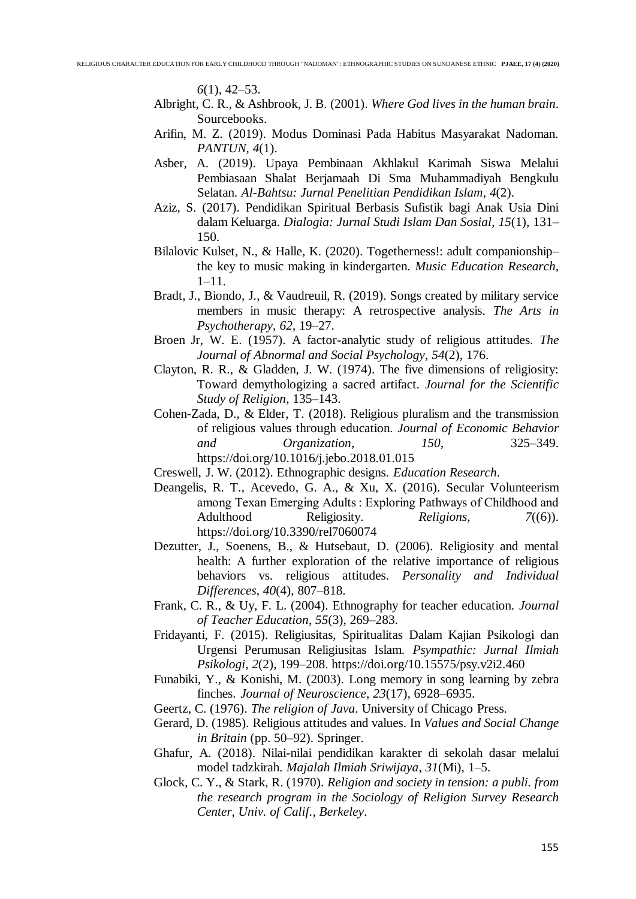*6*(1), 42–53.

- Albright, C. R., & Ashbrook, J. B. (2001). *Where God lives in the human brain*. Sourcebooks.
- Arifin, M. Z. (2019). Modus Dominasi Pada Habitus Masyarakat Nadoman. *PANTUN*, *4*(1).
- Asber, A. (2019). Upaya Pembinaan Akhlakul Karimah Siswa Melalui Pembiasaan Shalat Berjamaah Di Sma Muhammadiyah Bengkulu Selatan. *Al-Bahtsu: Jurnal Penelitian Pendidikan Islam*, *4*(2).
- Aziz, S. (2017). Pendidikan Spiritual Berbasis Sufistik bagi Anak Usia Dini dalam Keluarga. *Dialogia: Jurnal Studi Islam Dan Sosial*, *15*(1), 131– 150.
- Bilalovic Kulset, N., & Halle, K. (2020). Togetherness!: adult companionship– the key to music making in kindergarten. *Music Education Research*, 1–11.
- Bradt, J., Biondo, J., & Vaudreuil, R. (2019). Songs created by military service members in music therapy: A retrospective analysis. *The Arts in Psychotherapy*, *62*, 19–27.
- Broen Jr, W. E. (1957). A factor-analytic study of religious attitudes. *The Journal of Abnormal and Social Psychology*, *54*(2), 176.
- Clayton, R. R., & Gladden, J. W. (1974). The five dimensions of religiosity: Toward demythologizing a sacred artifact. *Journal for the Scientific Study of Religion*, 135–143.
- Cohen-Zada, D., & Elder, T. (2018). Religious pluralism and the transmission of religious values through education. *Journal of Economic Behavior and Organization*, *150*, 325–349. https://doi.org/10.1016/j.jebo.2018.01.015
- Creswell, J. W. (2012). Ethnographic designs. *Education Research*.
- Deangelis, R. T., Acevedo, G. A., & Xu, X. (2016). Secular Volunteerism among Texan Emerging Adults : Exploring Pathways of Childhood and Adulthood Religiosity. *Religions*, *7*((6)). https://doi.org/10.3390/rel7060074
- Dezutter, J., Soenens, B., & Hutsebaut, D. (2006). Religiosity and mental health: A further exploration of the relative importance of religious behaviors vs. religious attitudes. *Personality and Individual Differences*, *40*(4), 807–818.
- Frank, C. R., & Uy, F. L. (2004). Ethnography for teacher education. *Journal of Teacher Education*, *55*(3), 269–283.
- Fridayanti, F. (2015). Religiusitas, Spiritualitas Dalam Kajian Psikologi dan Urgensi Perumusan Religiusitas Islam. *Psympathic: Jurnal Ilmiah Psikologi*, *2*(2), 199–208. https://doi.org/10.15575/psy.v2i2.460
- Funabiki, Y., & Konishi, M. (2003). Long memory in song learning by zebra finches. *Journal of Neuroscience*, *23*(17), 6928–6935.
- Geertz, C. (1976). *The religion of Java*. University of Chicago Press.
- Gerard, D. (1985). Religious attitudes and values. In *Values and Social Change in Britain* (pp. 50–92). Springer.
- Ghafur, A. (2018). Nilai-nilai pendidikan karakter di sekolah dasar melalui model tadzkirah. *Majalah Ilmiah Sriwijaya*, *31*(Mi), 1–5.
- Glock, C. Y., & Stark, R. (1970). *Religion and society in tension: a publi. from the research program in the Sociology of Religion Survey Research Center, Univ. of Calif., Berkeley*.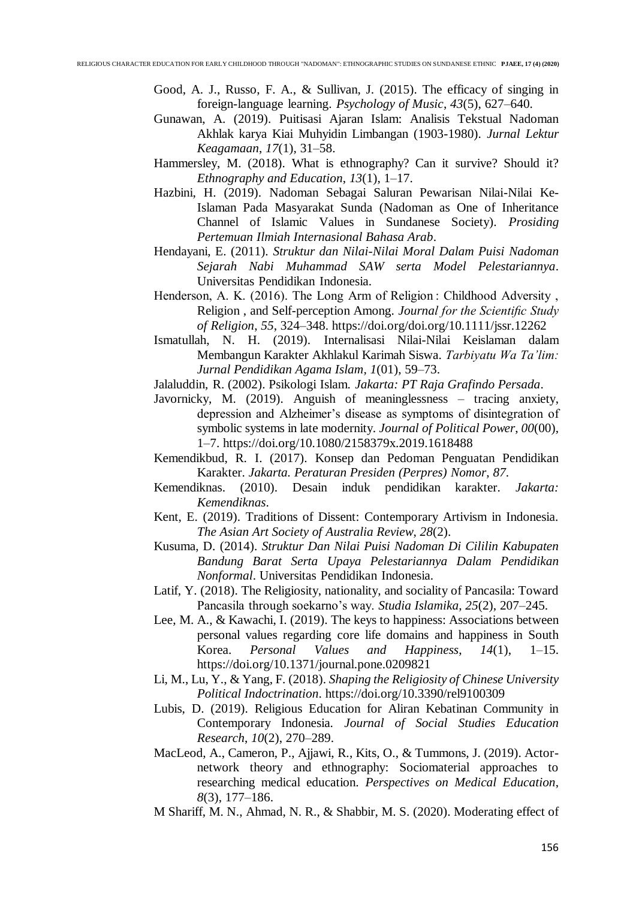- Good, A. J., Russo, F. A., & Sullivan, J. (2015). The efficacy of singing in foreign-language learning. *Psychology of Music*, *43*(5), 627–640.
- Gunawan, A. (2019). Puitisasi Ajaran Islam: Analisis Tekstual Nadoman Akhlak karya Kiai Muhyidin Limbangan (1903-1980). *Jurnal Lektur Keagamaan*, *17*(1), 31–58.
- Hammersley, M. (2018). What is ethnography? Can it survive? Should it? *Ethnography and Education*, *13*(1), 1–17.
- Hazbini, H. (2019). Nadoman Sebagai Saluran Pewarisan Nilai-Nilai Ke-Islaman Pada Masyarakat Sunda (Nadoman as One of Inheritance Channel of Islamic Values in Sundanese Society). *Prosiding Pertemuan Ilmiah Internasional Bahasa Arab*.
- Hendayani, E. (2011). *Struktur dan Nilai-Nilai Moral Dalam Puisi Nadoman Sejarah Nabi Muhammad SAW serta Model Pelestariannya*. Universitas Pendidikan Indonesia.
- Henderson, A. K. (2016). The Long Arm of Religion : Childhood Adversity, Religion , and Self-perception Among. *Journal for the Scientific Study of Religion*, *55*, 324–348. https://doi.org/doi.org/10.1111/jssr.12262
- Ismatullah, N. H. (2019). Internalisasi Nilai-Nilai Keislaman dalam Membangun Karakter Akhlakul Karimah Siswa. *Tarbiyatu Wa Ta'lim: Jurnal Pendidikan Agama Islam*, *1*(01), 59–73.
- Jalaluddin, R. (2002). Psikologi Islam. *Jakarta: PT Raja Grafindo Persada*.
- Javornicky, M. (2019). Anguish of meaninglessness tracing anxiety, depression and Alzheimer's disease as symptoms of disintegration of symbolic systems in late modernity. *Journal of Political Power*, *00*(00), 1–7. https://doi.org/10.1080/2158379x.2019.1618488
- Kemendikbud, R. I. (2017). Konsep dan Pedoman Penguatan Pendidikan Karakter. *Jakarta. Peraturan Presiden (Perpres) Nomor*, *87*.
- Kemendiknas. (2010). Desain induk pendidikan karakter. *Jakarta: Kemendiknas*.
- Kent, E. (2019). Traditions of Dissent: Contemporary Artivism in Indonesia. *The Asian Art Society of Australia Review*, *28*(2).
- Kusuma, D. (2014). *Struktur Dan Nilai Puisi Nadoman Di Cililin Kabupaten Bandung Barat Serta Upaya Pelestariannya Dalam Pendidikan Nonformal*. Universitas Pendidikan Indonesia.
- Latif, Y. (2018). The Religiosity, nationality, and sociality of Pancasila: Toward Pancasila through soekarno's way. *Studia Islamika*, *25*(2), 207–245.
- Lee, M. A., & Kawachi, I. (2019). The keys to happiness: Associations between personal values regarding core life domains and happiness in South Korea. *Personal Values and Happiness*, *14*(1), 1–15. https://doi.org/10.1371/journal.pone.0209821
- Li, M., Lu, Y., & Yang, F. (2018). *Shaping the Religiosity of Chinese University Political Indoctrination*. https://doi.org/10.3390/rel9100309
- Lubis, D. (2019). Religious Education for Aliran Kebatinan Community in Contemporary Indonesia. *Journal of Social Studies Education Research*, *10*(2), 270–289.
- MacLeod, A., Cameron, P., Ajjawi, R., Kits, O., & Tummons, J. (2019). Actornetwork theory and ethnography: Sociomaterial approaches to researching medical education. *Perspectives on Medical Education*, *8*(3), 177–186.
- M Shariff, M. N., Ahmad, N. R., & Shabbir, M. S. (2020). Moderating effect of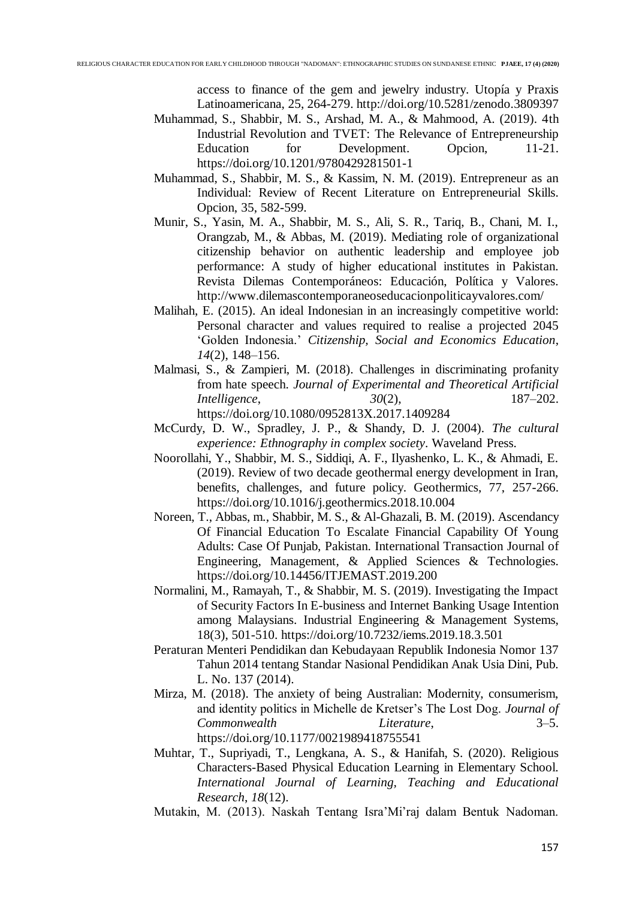access to finance of the gem and jewelry industry. Utopía y Praxis Latinoamericana, 25, 264-279. http://doi.org/10.5281/zenodo.3809397

- Muhammad, S., Shabbir, M. S., Arshad, M. A., & Mahmood, A. (2019). 4th Industrial Revolution and TVET: The Relevance of Entrepreneurship Education for Development. Opcion, 11-21. https://doi.org/10.1201/9780429281501-1
- Muhammad, S., Shabbir, M. S., & Kassim, N. M. (2019). Entrepreneur as an Individual: Review of Recent Literature on Entrepreneurial Skills. Opcion, 35, 582-599.
- Munir, S., Yasin, M. A., Shabbir, M. S., Ali, S. R., Tariq, B., Chani, M. I., Orangzab, M., & Abbas, M. (2019). Mediating role of organizational citizenship behavior on authentic leadership and employee job performance: A study of higher educational institutes in Pakistan. Revista Dilemas Contemporáneos: Educación, Política y Valores. http://www.dilemascontemporaneoseducacionpoliticayvalores.com/
- Malihah, E. (2015). An ideal Indonesian in an increasingly competitive world: Personal character and values required to realise a projected 2045 'Golden Indonesia.' *Citizenship, Social and Economics Education*, *14*(2), 148–156.
- Malmasi, S., & Zampieri, M. (2018). Challenges in discriminating profanity from hate speech. *Journal of Experimental and Theoretical Artificial Intelligence*, *30*(2), 187–202. https://doi.org/10.1080/0952813X.2017.1409284
- McCurdy, D. W., Spradley, J. P., & Shandy, D. J. (2004). *The cultural experience: Ethnography in complex society*. Waveland Press.
- Noorollahi, Y., Shabbir, M. S., Siddiqi, A. F., Ilyashenko, L. K., & Ahmadi, E. (2019). Review of two decade geothermal energy development in Iran, benefits, challenges, and future policy. Geothermics, 77, 257-266. https://doi.org/10.1016/j.geothermics.2018.10.004
- Noreen, T., Abbas, m., Shabbir, M. S., & Al-Ghazali, B. M. (2019). Ascendancy Of Financial Education To Escalate Financial Capability Of Young Adults: Case Of Punjab, Pakistan. International Transaction Journal of Engineering, Management, & Applied Sciences & Technologies. https://doi.org/10.14456/ITJEMAST.2019.200
- Normalini, M., Ramayah, T., & Shabbir, M. S. (2019). Investigating the Impact of Security Factors In E-business and Internet Banking Usage Intention among Malaysians. Industrial Engineering & Management Systems, 18(3), 501-510. https://doi.org/10.7232/iems.2019.18.3.501
- Peraturan Menteri Pendidikan dan Kebudayaan Republik Indonesia Nomor 137 Tahun 2014 tentang Standar Nasional Pendidikan Anak Usia Dini, Pub. L. No. 137 (2014).
- Mirza, M. (2018). The anxiety of being Australian: Modernity, consumerism, and identity politics in Michelle de Kretser's The Lost Dog. *Journal of Commonwealth Literature*, 3–5. https://doi.org/10.1177/0021989418755541
- Muhtar, T., Supriyadi, T., Lengkana, A. S., & Hanifah, S. (2020). Religious Characters-Based Physical Education Learning in Elementary School. *International Journal of Learning, Teaching and Educational Research*, *18*(12).
- Mutakin, M. (2013). Naskah Tentang Isra'Mi'raj dalam Bentuk Nadoman.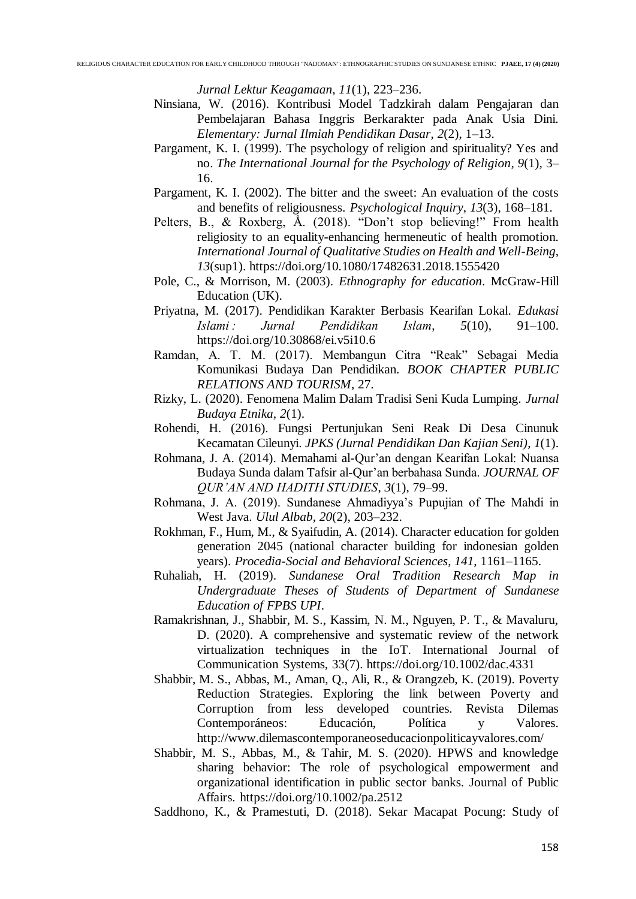*Jurnal Lektur Keagamaan*, *11*(1), 223–236.

- Ninsiana, W. (2016). Kontribusi Model Tadzkirah dalam Pengajaran dan Pembelajaran Bahasa Inggris Berkarakter pada Anak Usia Dini. *Elementary: Jurnal Ilmiah Pendidikan Dasar*, *2*(2), 1–13.
- Pargament, K. I. (1999). The psychology of religion and spirituality? Yes and no. *The International Journal for the Psychology of Religion*, *9*(1), 3– 16.
- Pargament, K. I. (2002). The bitter and the sweet: An evaluation of the costs and benefits of religiousness. *Psychological Inquiry*, *13*(3), 168–181.
- Pelters, B., & Roxberg, Å. (2018). "Don't stop believing!" From health religiosity to an equality-enhancing hermeneutic of health promotion. *International Journal of Qualitative Studies on Health and Well-Being*, *13*(sup1). https://doi.org/10.1080/17482631.2018.1555420
- Pole, C., & Morrison, M. (2003). *Ethnography for education*. McGraw-Hill Education (UK).
- Priyatna, M. (2017). Pendidikan Karakter Berbasis Kearifan Lokal. *Edukasi Islami : Jurnal Pendidikan Islam*, *5*(10), 91–100. https://doi.org/10.30868/ei.v5i10.6
- Ramdan, A. T. M. (2017). Membangun Citra "Reak" Sebagai Media Komunikasi Budaya Dan Pendidikan. *BOOK CHAPTER PUBLIC RELATIONS AND TOURISM*, 27.
- Rizky, L. (2020). Fenomena Malim Dalam Tradisi Seni Kuda Lumping. *Jurnal Budaya Etnika*, *2*(1).
- Rohendi, H. (2016). Fungsi Pertunjukan Seni Reak Di Desa Cinunuk Kecamatan Cileunyi. *JPKS (Jurnal Pendidikan Dan Kajian Seni)*, *1*(1).
- Rohmana, J. A. (2014). Memahami al-Qur'an dengan Kearifan Lokal: Nuansa Budaya Sunda dalam Tafsir al-Qur'an berbahasa Sunda. *JOURNAL OF QUR'AN AND HADITH STUDIES*, *3*(1), 79–99.
- Rohmana, J. A. (2019). Sundanese Ahmadiyya's Pupujian of The Mahdi in West Java. *Ulul Albab*, *20*(2), 203–232.
- Rokhman, F., Hum, M., & Syaifudin, A. (2014). Character education for golden generation 2045 (national character building for indonesian golden years). *Procedia-Social and Behavioral Sciences*, *141*, 1161–1165.
- Ruhaliah, H. (2019). *Sundanese Oral Tradition Research Map in Undergraduate Theses of Students of Department of Sundanese Education of FPBS UPI*.
- Ramakrishnan, J., Shabbir, M. S., Kassim, N. M., Nguyen, P. T., & Mavaluru, D. (2020). A comprehensive and systematic review of the network virtualization techniques in the IoT. International Journal of Communication Systems, 33(7). https://doi.org/10.1002/dac.4331
- Shabbir, M. S., Abbas, M., Aman, Q., Ali, R., & Orangzeb, K. (2019). Poverty Reduction Strategies. Exploring the link between Poverty and Corruption from less developed countries. Revista Dilemas Contemporáneos: Educación, Política y Valores. http://www.dilemascontemporaneoseducacionpoliticayvalores.com/
- Shabbir, M. S., Abbas, M., & Tahir, M. S. (2020). HPWS and knowledge sharing behavior: The role of psychological empowerment and organizational identification in public sector banks. Journal of Public Affairs. https://doi.org/10.1002/pa.2512

Saddhono, K., & Pramestuti, D. (2018). Sekar Macapat Pocung: Study of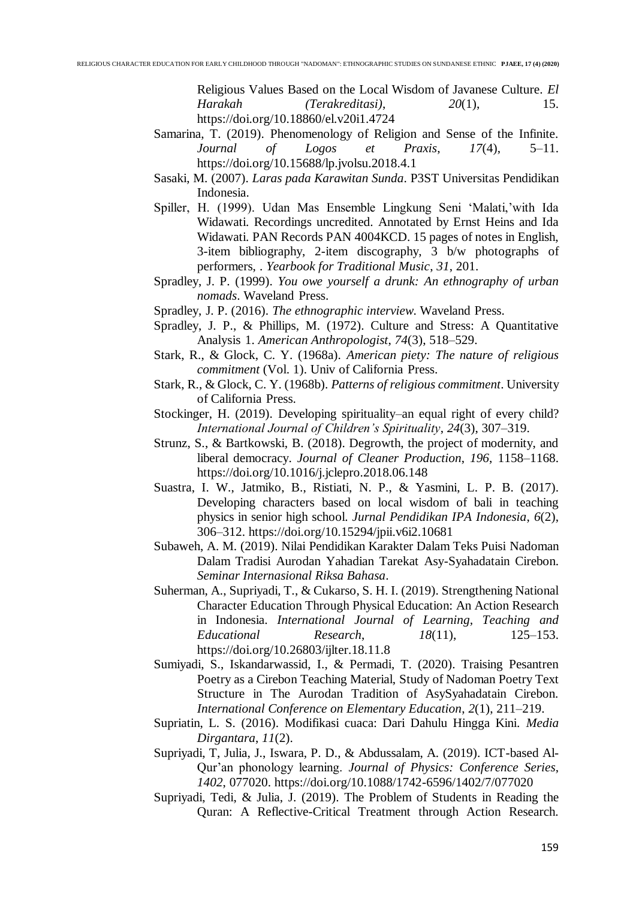Religious Values Based on the Local Wisdom of Javanese Culture. *El Harakah (Terakreditasi)*, *20*(1), 15. https://doi.org/10.18860/el.v20i1.4724

- Samarina, T. (2019). Phenomenology of Religion and Sense of the Infinite. *Journal of Logos et Praxis*, *17*(4), 5–11. https://doi.org/10.15688/lp.jvolsu.2018.4.1
- Sasaki, M. (2007). *Laras pada Karawitan Sunda*. P3ST Universitas Pendidikan Indonesia.
- Spiller, H. (1999). Udan Mas Ensemble Lingkung Seni 'Malati,'with Ida Widawati. Recordings uncredited. Annotated by Ernst Heins and Ida Widawati. PAN Records PAN 4004KCD. 15 pages of notes in English, 3-item bibliography, 2-item discography, 3 b/w photographs of performers, . *Yearbook for Traditional Music*, *31*, 201.
- Spradley, J. P. (1999). *You owe yourself a drunk: An ethnography of urban nomads*. Waveland Press.
- Spradley, J. P. (2016). *The ethnographic interview*. Waveland Press.
- Spradley, J. P., & Phillips, M. (1972). Culture and Stress: A Quantitative Analysis 1. *American Anthropologist*, *74*(3), 518–529.
- Stark, R., & Glock, C. Y. (1968a). *American piety: The nature of religious commitment* (Vol. 1). Univ of California Press.
- Stark, R., & Glock, C. Y. (1968b). *Patterns of religious commitment*. University of California Press.
- Stockinger, H. (2019). Developing spirituality–an equal right of every child? *International Journal of Children's Spirituality*, *24*(3), 307–319.
- Strunz, S., & Bartkowski, B. (2018). Degrowth, the project of modernity, and liberal democracy. *Journal of Cleaner Production*, *196*, 1158–1168. https://doi.org/10.1016/j.jclepro.2018.06.148
- Suastra, I. W., Jatmiko, B., Ristiati, N. P., & Yasmini, L. P. B. (2017). Developing characters based on local wisdom of bali in teaching physics in senior high school. *Jurnal Pendidikan IPA Indonesia*, *6*(2), 306–312. https://doi.org/10.15294/jpii.v6i2.10681
- Subaweh, A. M. (2019). Nilai Pendidikan Karakter Dalam Teks Puisi Nadoman Dalam Tradisi Aurodan Yahadian Tarekat Asy-Syahadatain Cirebon. *Seminar Internasional Riksa Bahasa*.
- Suherman, A., Supriyadi, T., & Cukarso, S. H. I. (2019). Strengthening National Character Education Through Physical Education: An Action Research in Indonesia. *International Journal of Learning, Teaching and Educational Research*, *18*(11), 125–153. https://doi.org/10.26803/ijlter.18.11.8
- Sumiyadi, S., Iskandarwassid, I., & Permadi, T. (2020). Traising Pesantren Poetry as a Cirebon Teaching Material, Study of Nadoman Poetry Text Structure in The Aurodan Tradition of AsySyahadatain Cirebon. *International Conference on Elementary Education*, *2*(1), 211–219.
- Supriatin, L. S. (2016). Modifikasi cuaca: Dari Dahulu Hingga Kini. *Media Dirgantara*, *11*(2).
- Supriyadi, T, Julia, J., Iswara, P. D., & Abdussalam, A. (2019). ICT-based Al-Qur'an phonology learning. *Journal of Physics: Conference Series*, *1402*, 077020. https://doi.org/10.1088/1742-6596/1402/7/077020
- Supriyadi, Tedi, & Julia, J. (2019). The Problem of Students in Reading the Quran: A Reflective-Critical Treatment through Action Research.